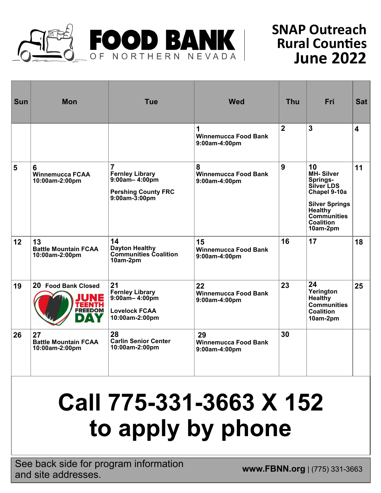

## **SNAP Outreach Rural Counties June 2022**

| <b>Sun</b>      | <b>Mon</b>                                                  | <b>Tue</b>                                                                                                          | <b>Wed</b>                                         | <b>Thu</b>     | <b>Fri</b>                                                                                                                                                              | <b>Sat</b>       |
|-----------------|-------------------------------------------------------------|---------------------------------------------------------------------------------------------------------------------|----------------------------------------------------|----------------|-------------------------------------------------------------------------------------------------------------------------------------------------------------------------|------------------|
|                 |                                                             |                                                                                                                     | 1<br><b>Winnemucca Food Bank</b><br>9:00am-4:00pm  | $\overline{2}$ | $\overline{3}$                                                                                                                                                          | $\boldsymbol{4}$ |
| 5               | 6<br><b>Winnemucca FCAA</b><br>10:00am-2:00pm               | $\overline{7}$<br><b>Fernley Library</b><br>$9:00am - 4:00pm$<br><b>Pershing County FRC</b><br>$9:00$ am $-3:00$ pm | 8<br><b>Winnemucca Food Bank</b><br>9:00am-4:00pm  | 9              | 10<br><b>MH-Silver</b><br>Springs-<br>Silver LDS<br>Chapel 9-10a<br><b>Silver Springs</b><br>Healthy <sup>-</sup><br><b>Communities</b><br><b>Coalition</b><br>10am-2pm | 11               |
| 12 <sub>2</sub> | 13<br><b>Battle Mountain FCAA</b><br>10:00am-2:00pm         | 14<br><b>Dayton Healthy</b><br><b>Communities Coalition</b><br>10am-2pm                                             | 15<br><b>Winnemucca Food Bank</b><br>9:00am-4:00pm | 16             | 17                                                                                                                                                                      | 18               |
| 19              | 20 Food Bank Closed<br>INE<br>TEENTH<br><b>FREEDOM</b><br>D | 21<br><b>Fernley Library</b><br>$9:00am - 4:00pm$<br><b>Lovelock FCAA</b><br>10:00am-2:00pm                         | 22<br><b>Winnemucca Food Bank</b><br>9:00am-4:00pm | 23             | 24<br>Yerington<br><b>Healthy</b><br><b>Communities</b><br><b>Coalition</b><br>10am-2pm                                                                                 | 25               |
| 26              | 27<br><b>Battle Mountain FCAA</b><br>10:00am-2:00pm         | 28<br><b>Carlin Senior Center</b><br>10:00am-2:00pm                                                                 | 29<br><b>Winnemucca Food Bank</b><br>9:00am-4:00pm | 30             |                                                                                                                                                                         |                  |

## **Call 775-331-3663 X 152 to apply by phone**

**See back side for program information**<br> **www.FBNN.org** | (775) 331-3663 and site addresses.